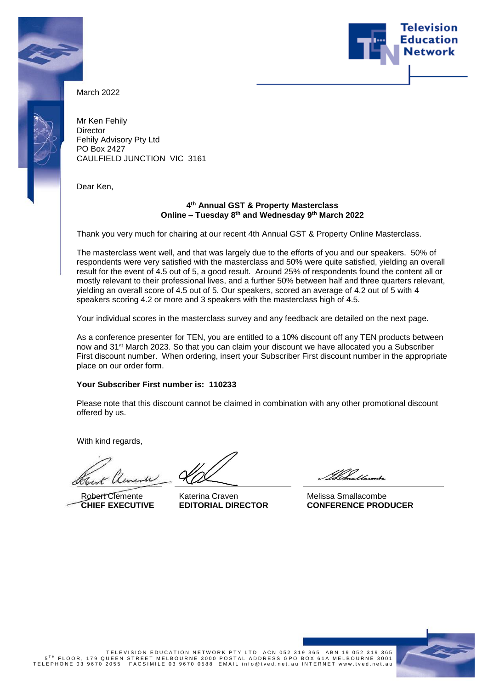



March 2022

Mr Ken Fehily **Director** Fehily Advisory Pty Ltd PO Box 2427 CAULFIELD JUNCTION VIC 3161

Dear Ken,

### **4 th Annual GST & Property Masterclass Online – Tuesday 8 th and Wednesday 9th March 2022**

Thank you very much for chairing at our recent 4th Annual GST & Property Online Masterclass.

The masterclass went well, and that was largely due to the efforts of you and our speakers. 50% of respondents were very satisfied with the masterclass and 50% were quite satisfied, yielding an overall result for the event of 4.5 out of 5, a good result. Around 25% of respondents found the content all or mostly relevant to their professional lives, and a further 50% between half and three quarters relevant, yielding an overall score of 4.5 out of 5. Our speakers, scored an average of 4.2 out of 5 with 4 speakers scoring 4.2 or more and 3 speakers with the masterclass high of 4.5.

Your individual scores in the masterclass survey and any feedback are detailed on the next page.

As a conference presenter for TEN, you are entitled to a 10% discount off any TEN products between now and 31st March 2023. So that you can claim your discount we have allocated you a Subscriber First discount number. When ordering, insert your Subscriber First discount number in the appropriate place on our order form.

## **Your Subscriber First number is: 110233**

Please note that this discount cannot be claimed in combination with any other promotional discount offered by us.

With kind regards,

1x

Robert Clemente **CHIEF EXECUTIVE**

Katerina Craven **EDITORIAL DIRECTOR**

III 11

Melissa Smallacombe **CONFERENCE PRODUCER**



762 19365 TELEVISION EDUCATION NETWORK PTY LTD ACN 052 319 365 ABN 19 052 319<br>5<sup>TH</sup> FLOOR, 179 QUEEN STREET MELBOURNE 3000 POSTAL ADDRESS GPO BOX 61A MELBOURNE 3001<br>TELEPHONE 03 9670 2055 FACSIMILE 03 9670 0588 EMAIL info@